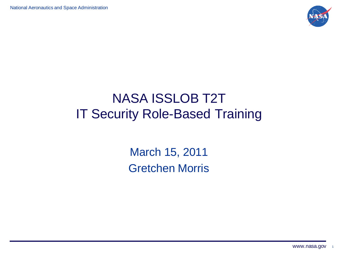

### NASA ISSLOB T2T IT Security Role-Based Training

March 15, 2011 Gretchen Morris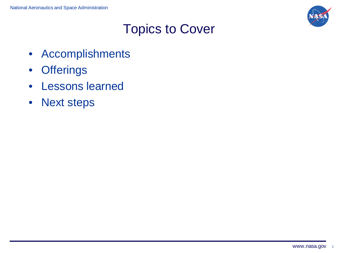

#### Topics to Cover

- Accomplishments
- Offerings
- Lessons learned
- Next steps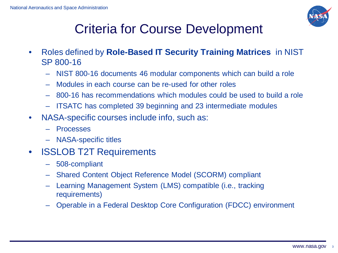

## Criteria for Course Development

- Roles defined by **Role-Based IT Security Training Matrices** in NIST SP 800-16
	- NIST 800-16 documents 46 modular components which can build a role
	- Modules in each course can be re-used for other roles
	- 800-16 has recommendations which modules could be used to build a role
	- ITSATC has completed 39 beginning and 23 intermediate modules
- NASA-specific courses include info, such as:
	- Processes
	- NASA-specific titles
- ISSLOB T2T Requirements
	- 508-compliant
	- Shared Content Object Reference Model (SCORM) compliant
	- Learning Management System (LMS) compatible (i.e., tracking requirements)
	- Operable in a Federal Desktop Core Configuration (FDCC) environment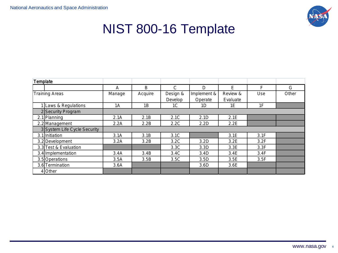

#### NIST 800-16 Template

| Template              |                              |        |         |          |             |          |      |       |
|-----------------------|------------------------------|--------|---------|----------|-------------|----------|------|-------|
|                       |                              | A      | B       | C        | D           | F        | F    | G     |
| <b>Training Areas</b> |                              | Manage | Acquire | Design & | Implement & | Review & | Use  | Other |
|                       |                              |        |         | Develop  | Operate     | Evaluate |      |       |
|                       | 1 Laws & Regulations         | 1A     | 1B      | 1C       | 1D          | 1E       | 1F   |       |
|                       | Security Program             |        |         |          |             |          |      |       |
|                       | 2.1 Planning                 | 2.1A   | 2.1B    | 2.1C     | 2.1D        | 2.1E     |      |       |
|                       | 2.2 Management               | 2.2A   | 2.2B    | 2.2C     | 2.2D        | 2.2E     |      |       |
|                       | 3 System Life Cycle Security |        |         |          |             |          |      |       |
|                       | 3.1 Initiation               | 3.1A   | 3.1B    | 3.1C     |             | 3.1E     | 3.1F |       |
|                       | 3.2 Development              | 3.2A   | 3.2B    | 3.2C     | 3.2D        | 3.2E     | 3.2F |       |
|                       | 3.3 Test & Evaluation        |        |         | 3.3C     | 3.3D        | 3.3E     | 3.3F |       |
|                       | 3.4 Implementation           | 3.4A   | 3.4B    | 3.4C     | 3.4D        | 3.4E     | 3.4F |       |
|                       | 3.5 Operations               | 3.5A   | 3.5B    | 3.5C     | 3.5D        | 3.5E     | 3.5F |       |
|                       | 3.6 Termination              | 3.6A   |         |          | 3.6D        | 3.6E     |      |       |
|                       | 4 Other                      |        |         |          |             |          |      |       |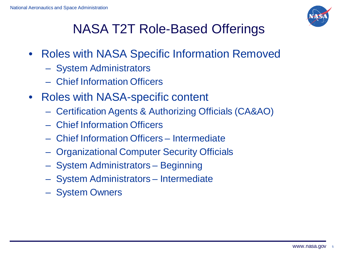

# NASA T2T Role-Based Offerings

- Roles with NASA Specific Information Removed
	- System Administrators
	- Chief Information Officers
- Roles with NASA-specific content
	- Certification Agents & Authorizing Officials (CA&AO)
	- Chief Information Officers
	- Chief Information Officers Intermediate
	- Organizational Computer Security Officials
	- System Administrators Beginning
	- System Administrators Intermediate
	- System Owners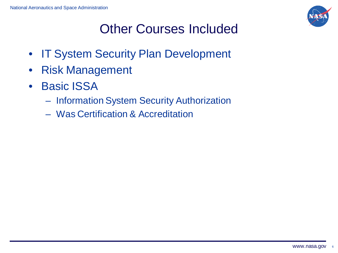

# Other Courses Included

- IT System Security Plan Development
- Risk Management
- Basic ISSA
	- Information System Security Authorization
	- Was Certification & Accreditation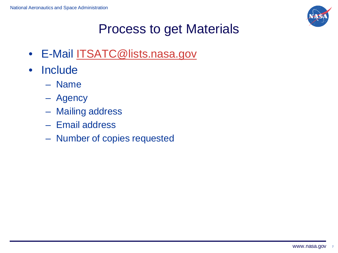

#### Process to get Materials

- E-Mail **[ITSATC@lists.nasa.gov](mailto:ITSATC@lists.nasa.gov)**
- Include
	- Name
	- Agency
	- Mailing address
	- Email address
	- Number of copies requested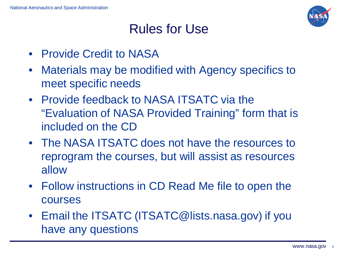

#### Rules for Use

- Provide Credit to NASA
- Materials may be modified with Agency specifics to meet specific needs
- Provide feedback to NASA ITSATC via the "Evaluation of NASA Provided Training" form that is included on the CD
- The NASA ITSATC does not have the resources to reprogram the courses, but will assist as resources allow
- Follow instructions in CD Read Me file to open the courses
- Email the ITSATC (ITSATC@lists.nasa.gov) if you have any questions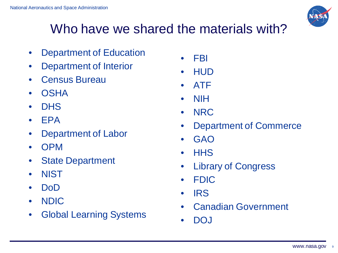## Who have we shared the materials with?

- Department of Education
- Department of Interior
- Census Bureau
- OSHA
- DHS
- EPA
- Department of Labor
- OPM
- State Department
- NIST
- DoD
- NDIC
- Global Learning Systems
- FBI
- HUD
- ATF
- NIH
- NRC
- Department of Commerce
- GAO
- HHS
- Library of Congress
- FDIC
- IRS
- Canadian Government
- DOJ

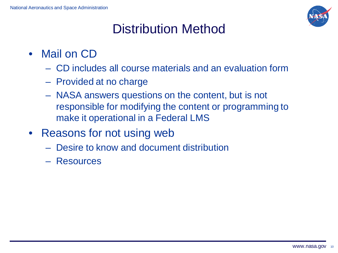

### Distribution Method

- Mail on CD
	- CD includes all course materials and an evaluation form
	- Provided at no charge
	- NASA answers questions on the content, but is not responsible for modifying the content or programming to make it operational in a Federal LMS
- Reasons for not using web
	- Desire to know and document distribution
	- Resources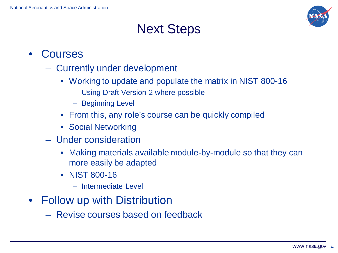

#### Next Steps

- **Courses** 
	- Currently under development
		- Working to update and populate the matrix in NIST 800-16
			- Using Draft Version 2 where possible
			- Beginning Level
		- From this, any role's course can be quickly compiled
		- Social Networking
	- Under consideration
		- Making materials available module-by-module so that they can more easily be adapted
		- NIST 800-16
			- Intermediate Level
- Follow up with Distribution
	- Revise courses based on feedback